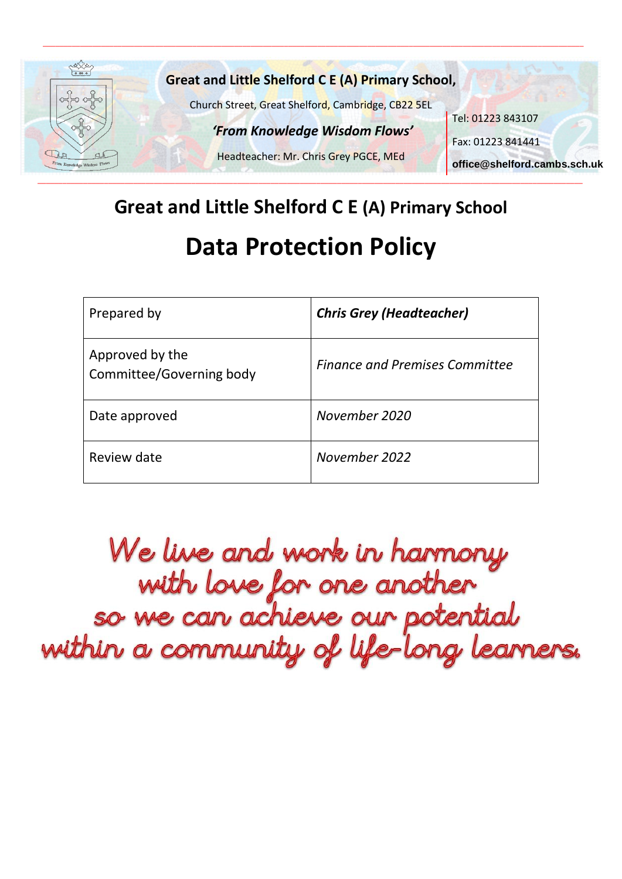

# **Great and Little Shelford C E (A) Primary School Data Protection Policy**

| Prepared by                                 | <b>Chris Grey (Headteacher)</b>       |
|---------------------------------------------|---------------------------------------|
| Approved by the<br>Committee/Governing body | <b>Finance and Premises Committee</b> |
| Date approved                               | November 2020                         |
| Review date                                 | November 2022                         |

We live and work in harmony<br>with love for one another<br>so we can achieve our potential<br>within a community of life-long leanners.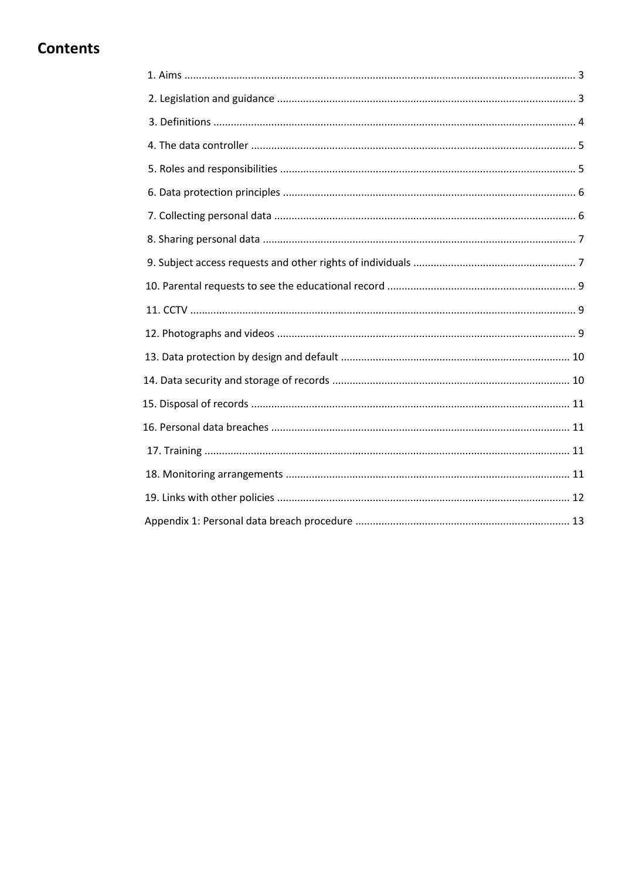# **Contents**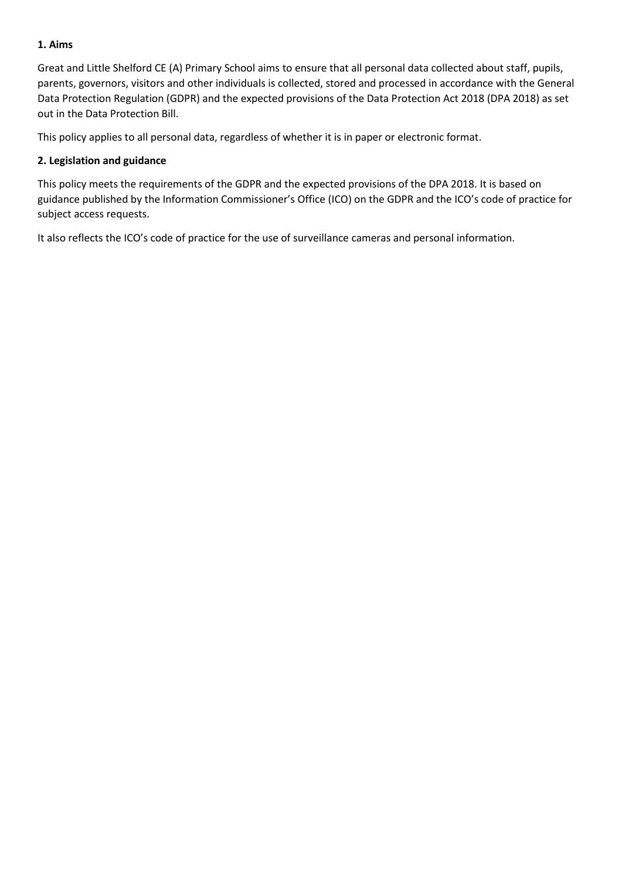## **1. Aims**

Great and Little Shelford CE (A) Primary School aims to ensure that all personal data collected about staff, pupils, parents, governors, visitors and other individuals is collected, stored and processed in accordance with the General Data Protection Regulation (GDPR) and the expected provisions of the Data Protection Act 2018 (DPA 2018) as set out in the Data Protection Bill.

This policy applies to all personal data, regardless of whether it is in paper or electronic format.

#### **2. Legislation and guidance**

This policy meets the requirements of the GDPR and the expected provisions of the DPA 2018. It is based on guidance published by the Information Commissioner's Office (ICO) on the GDPR and the ICO's code of practice for subject access requests.

It also reflects the ICO's code of practice for the use of surveillance cameras and personal information.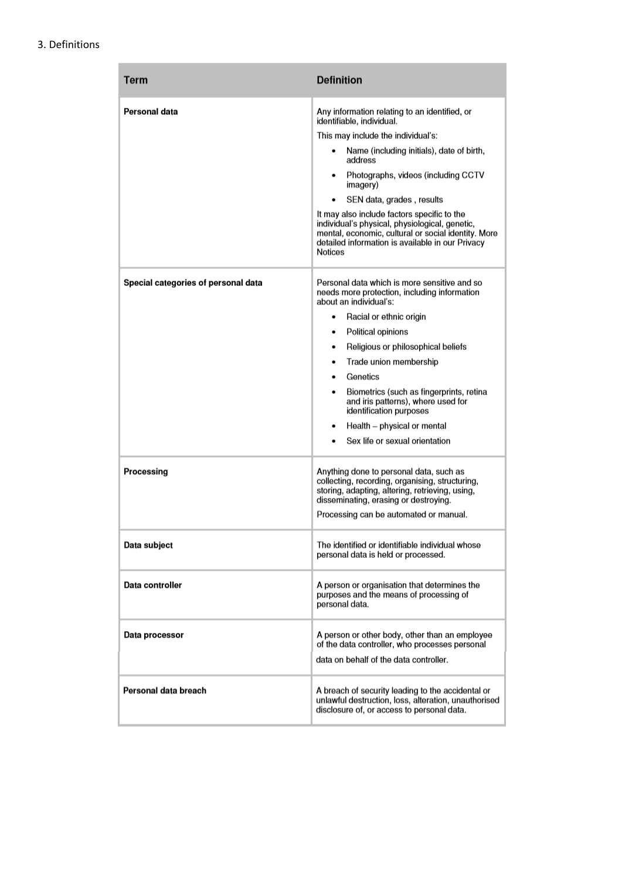#### 3. Definitions

| <b>Term</b>                         | <b>Definition</b>                                                                                                                                                                                                                                                                                                                                                                                                                                                                      |
|-------------------------------------|----------------------------------------------------------------------------------------------------------------------------------------------------------------------------------------------------------------------------------------------------------------------------------------------------------------------------------------------------------------------------------------------------------------------------------------------------------------------------------------|
| Personal data                       | Any information relating to an identified, or<br>identifiable, individual.<br>This may include the individual's:<br>Name (including initials), date of birth,<br>address<br>Photographs, videos (including CCTV<br>imagery)<br>SEN data, grades, results<br>It may also include factors specific to the<br>individual's physical, physiological, genetic,<br>mental, economic, cultural or social identity. More<br>detailed information is available in our Privacy<br><b>Notices</b> |
| Special categories of personal data | Personal data which is more sensitive and so<br>needs more protection, including information<br>about an individual's:<br>Racial or ethnic origin<br>٠<br>Political opinions<br>٠<br>Religious or philosophical beliefs<br>٠<br>Trade union membership<br>٠<br>Genetics<br>Biometrics (such as fingerprints, retina<br>٠<br>and iris patterns), where used for<br>identification purposes<br>Health - physical or mental<br>Sex life or sexual orientation                             |
| Processing                          | Anything done to personal data, such as<br>collecting, recording, organising, structuring,<br>storing, adapting, altering, retrieving, using,<br>disseminating, erasing or destroying.<br>Processing can be automated or manual.                                                                                                                                                                                                                                                       |
| Data subject                        | The identified or identifiable individual whose<br>personal data is held or processed.                                                                                                                                                                                                                                                                                                                                                                                                 |
| Data controller                     | A person or organisation that determines the<br>purposes and the means of processing of<br>personal data.                                                                                                                                                                                                                                                                                                                                                                              |
| Data processor                      | A person or other body, other than an employee<br>of the data controller, who processes personal<br>data on behalf of the data controller.                                                                                                                                                                                                                                                                                                                                             |
| Personal data breach                | A breach of security leading to the accidental or<br>unlawful destruction, loss, alteration, unauthorised<br>disclosure of, or access to personal data.                                                                                                                                                                                                                                                                                                                                |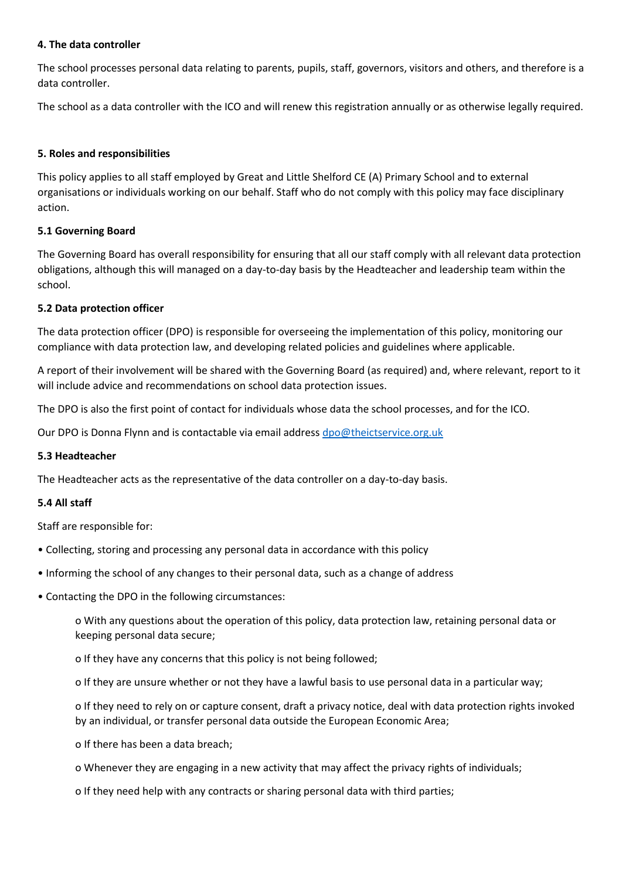#### **4. The data controller**

The school processes personal data relating to parents, pupils, staff, governors, visitors and others, and therefore is a data controller.

The school as a data controller with the ICO and will renew this registration annually or as otherwise legally required.

#### **5. Roles and responsibilities**

This policy applies to all staff employed by Great and Little Shelford CE (A) Primary School and to external organisations or individuals working on our behalf. Staff who do not comply with this policy may face disciplinary action.

#### **5.1 Governing Board**

The Governing Board has overall responsibility for ensuring that all our staff comply with all relevant data protection obligations, although this will managed on a day-to-day basis by the Headteacher and leadership team within the school.

#### **5.2 Data protection officer**

The data protection officer (DPO) is responsible for overseeing the implementation of this policy, monitoring our compliance with data protection law, and developing related policies and guidelines where applicable.

A report of their involvement will be shared with the Governing Board (as required) and, where relevant, report to it will include advice and recommendations on school data protection issues.

The DPO is also the first point of contact for individuals whose data the school processes, and for the ICO.

Our DPO is Donna Flynn and is contactable via email addres[s dpo@theictservice.org.uk](mailto:dpo@theictservice.org.uk)

#### **5.3 Headteacher**

The Headteacher acts as the representative of the data controller on a day-to-day basis.

#### **5.4 All staff**

Staff are responsible for:

- Collecting, storing and processing any personal data in accordance with this policy
- Informing the school of any changes to their personal data, such as a change of address
- Contacting the DPO in the following circumstances:

o With any questions about the operation of this policy, data protection law, retaining personal data or keeping personal data secure;

o If they have any concerns that this policy is not being followed;

o If they are unsure whether or not they have a lawful basis to use personal data in a particular way;

o If they need to rely on or capture consent, draft a privacy notice, deal with data protection rights invoked by an individual, or transfer personal data outside the European Economic Area;

- o If there has been a data breach;
- o Whenever they are engaging in a new activity that may affect the privacy rights of individuals;
- o If they need help with any contracts or sharing personal data with third parties;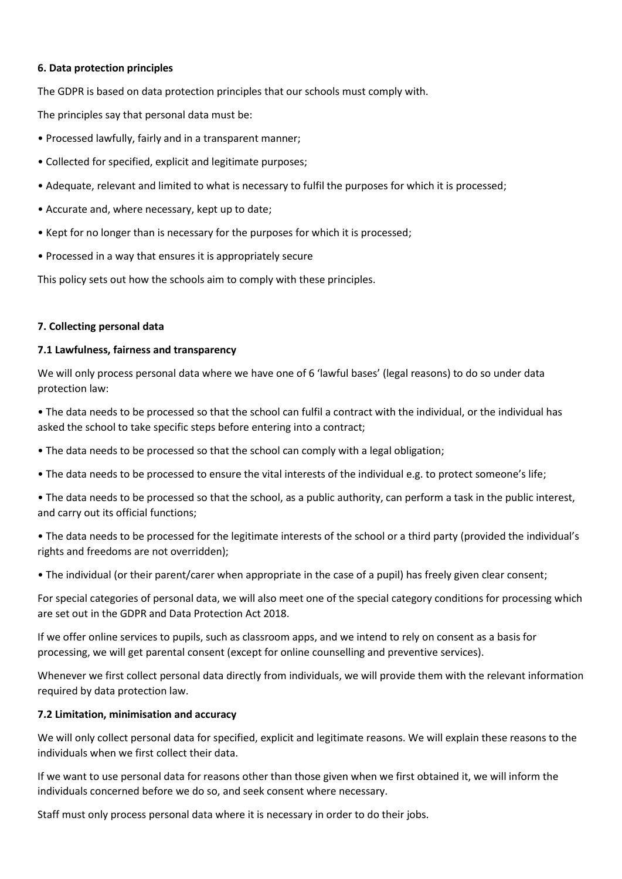#### **6. Data protection principles**

The GDPR is based on data protection principles that our schools must comply with.

The principles say that personal data must be:

- Processed lawfully, fairly and in a transparent manner;
- Collected for specified, explicit and legitimate purposes;
- Adequate, relevant and limited to what is necessary to fulfil the purposes for which it is processed;
- Accurate and, where necessary, kept up to date;
- Kept for no longer than is necessary for the purposes for which it is processed;
- Processed in a way that ensures it is appropriately secure

This policy sets out how the schools aim to comply with these principles.

#### **7. Collecting personal data**

#### **7.1 Lawfulness, fairness and transparency**

We will only process personal data where we have one of 6 'lawful bases' (legal reasons) to do so under data protection law:

• The data needs to be processed so that the school can fulfil a contract with the individual, or the individual has asked the school to take specific steps before entering into a contract;

- The data needs to be processed so that the school can comply with a legal obligation;
- The data needs to be processed to ensure the vital interests of the individual e.g. to protect someone's life;

• The data needs to be processed so that the school, as a public authority, can perform a task in the public interest, and carry out its official functions;

• The data needs to be processed for the legitimate interests of the school or a third party (provided the individual's rights and freedoms are not overridden);

• The individual (or their parent/carer when appropriate in the case of a pupil) has freely given clear consent;

For special categories of personal data, we will also meet one of the special category conditions for processing which are set out in the GDPR and Data Protection Act 2018.

If we offer online services to pupils, such as classroom apps, and we intend to rely on consent as a basis for processing, we will get parental consent (except for online counselling and preventive services).

Whenever we first collect personal data directly from individuals, we will provide them with the relevant information required by data protection law.

#### **7.2 Limitation, minimisation and accuracy**

We will only collect personal data for specified, explicit and legitimate reasons. We will explain these reasons to the individuals when we first collect their data.

If we want to use personal data for reasons other than those given when we first obtained it, we will inform the individuals concerned before we do so, and seek consent where necessary.

Staff must only process personal data where it is necessary in order to do their jobs.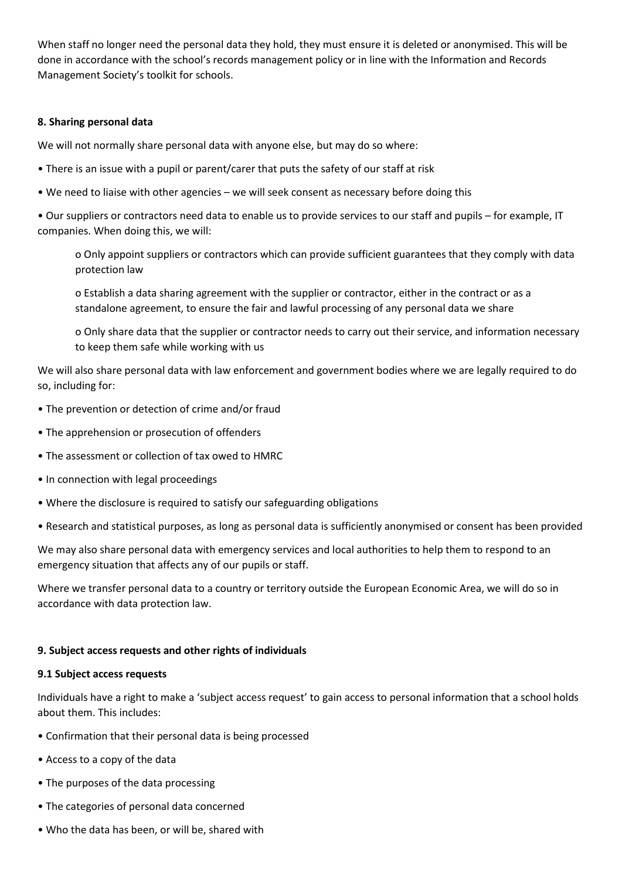When staff no longer need the personal data they hold, they must ensure it is deleted or anonymised. This will be done in accordance with the school's records management policy or in line with the Information and Records Management Society's toolkit for schools.

#### **8. Sharing personal data**

We will not normally share personal data with anyone else, but may do so where:

- There is an issue with a pupil or parent/carer that puts the safety of our staff at risk
- We need to liaise with other agencies we will seek consent as necessary before doing this

• Our suppliers or contractors need data to enable us to provide services to our staff and pupils – for example, IT companies. When doing this, we will:

o Only appoint suppliers or contractors which can provide sufficient guarantees that they comply with data protection law

o Establish a data sharing agreement with the supplier or contractor, either in the contract or as a standalone agreement, to ensure the fair and lawful processing of any personal data we share

o Only share data that the supplier or contractor needs to carry out their service, and information necessary to keep them safe while working with us

We will also share personal data with law enforcement and government bodies where we are legally required to do so, including for:

- The prevention or detection of crime and/or fraud
- The apprehension or prosecution of offenders
- The assessment or collection of tax owed to HMRC
- In connection with legal proceedings
- Where the disclosure is required to satisfy our safeguarding obligations
- Research and statistical purposes, as long as personal data is sufficiently anonymised or consent has been provided

We may also share personal data with emergency services and local authorities to help them to respond to an emergency situation that affects any of our pupils or staff.

Where we transfer personal data to a country or territory outside the European Economic Area, we will do so in accordance with data protection law.

#### **9. Subject access requests and other rights of individuals**

#### **9.1 Subject access requests**

Individuals have a right to make a 'subject access request' to gain access to personal information that a school holds about them. This includes:

- Confirmation that their personal data is being processed
- Access to a copy of the data
- The purposes of the data processing
- The categories of personal data concerned
- Who the data has been, or will be, shared with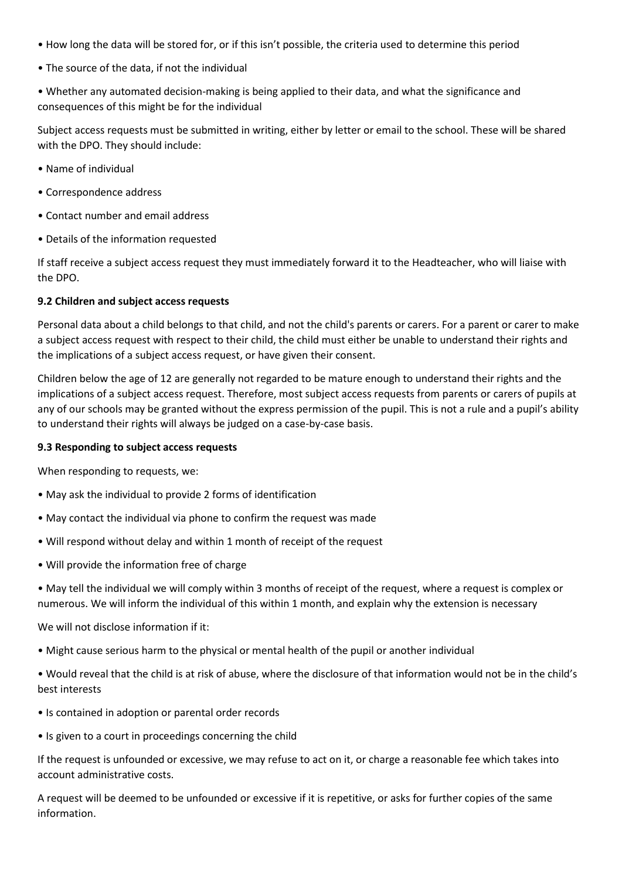- How long the data will be stored for, or if this isn't possible, the criteria used to determine this period
- The source of the data, if not the individual
- Whether any automated decision-making is being applied to their data, and what the significance and consequences of this might be for the individual

Subject access requests must be submitted in writing, either by letter or email to the school. These will be shared with the DPO. They should include:

- Name of individual
- Correspondence address
- Contact number and email address
- Details of the information requested

If staff receive a subject access request they must immediately forward it to the Headteacher, who will liaise with the DPO.

#### **9.2 Children and subject access requests**

Personal data about a child belongs to that child, and not the child's parents or carers. For a parent or carer to make a subject access request with respect to their child, the child must either be unable to understand their rights and the implications of a subject access request, or have given their consent.

Children below the age of 12 are generally not regarded to be mature enough to understand their rights and the implications of a subject access request. Therefore, most subject access requests from parents or carers of pupils at any of our schools may be granted without the express permission of the pupil. This is not a rule and a pupil's ability to understand their rights will always be judged on a case-by-case basis.

#### **9.3 Responding to subject access requests**

When responding to requests, we:

- May ask the individual to provide 2 forms of identification
- May contact the individual via phone to confirm the request was made
- Will respond without delay and within 1 month of receipt of the request
- Will provide the information free of charge
- May tell the individual we will comply within 3 months of receipt of the request, where a request is complex or numerous. We will inform the individual of this within 1 month, and explain why the extension is necessary

We will not disclose information if it:

- Might cause serious harm to the physical or mental health of the pupil or another individual
- Would reveal that the child is at risk of abuse, where the disclosure of that information would not be in the child's best interests
- Is contained in adoption or parental order records
- Is given to a court in proceedings concerning the child

If the request is unfounded or excessive, we may refuse to act on it, or charge a reasonable fee which takes into account administrative costs.

A request will be deemed to be unfounded or excessive if it is repetitive, or asks for further copies of the same information.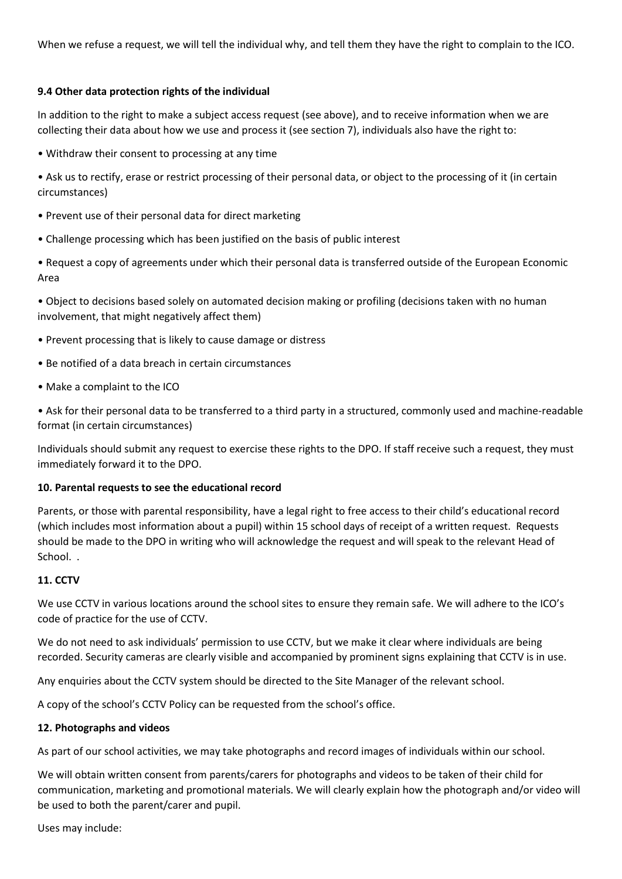When we refuse a request, we will tell the individual why, and tell them they have the right to complain to the ICO.

#### **9.4 Other data protection rights of the individual**

In addition to the right to make a subject access request (see above), and to receive information when we are collecting their data about how we use and process it (see section 7), individuals also have the right to:

• Withdraw their consent to processing at any time

• Ask us to rectify, erase or restrict processing of their personal data, or object to the processing of it (in certain circumstances)

- Prevent use of their personal data for direct marketing
- Challenge processing which has been justified on the basis of public interest

• Request a copy of agreements under which their personal data is transferred outside of the European Economic Area

• Object to decisions based solely on automated decision making or profiling (decisions taken with no human involvement, that might negatively affect them)

- Prevent processing that is likely to cause damage or distress
- Be notified of a data breach in certain circumstances
- Make a complaint to the ICO

• Ask for their personal data to be transferred to a third party in a structured, commonly used and machine-readable format (in certain circumstances)

Individuals should submit any request to exercise these rights to the DPO. If staff receive such a request, they must immediately forward it to the DPO.

#### **10. Parental requests to see the educational record**

Parents, or those with parental responsibility, have a legal right to free access to their child's educational record (which includes most information about a pupil) within 15 school days of receipt of a written request. Requests should be made to the DPO in writing who will acknowledge the request and will speak to the relevant Head of School. .

#### **11. CCTV**

We use CCTV in various locations around the school sites to ensure they remain safe. We will adhere to the ICO's code of practice for the use of CCTV.

We do not need to ask individuals' permission to use CCTV, but we make it clear where individuals are being recorded. Security cameras are clearly visible and accompanied by prominent signs explaining that CCTV is in use.

Any enquiries about the CCTV system should be directed to the Site Manager of the relevant school.

A copy of the school's CCTV Policy can be requested from the school's office.

#### **12. Photographs and videos**

As part of our school activities, we may take photographs and record images of individuals within our school.

We will obtain written consent from parents/carers for photographs and videos to be taken of their child for communication, marketing and promotional materials. We will clearly explain how the photograph and/or video will be used to both the parent/carer and pupil.

Uses may include: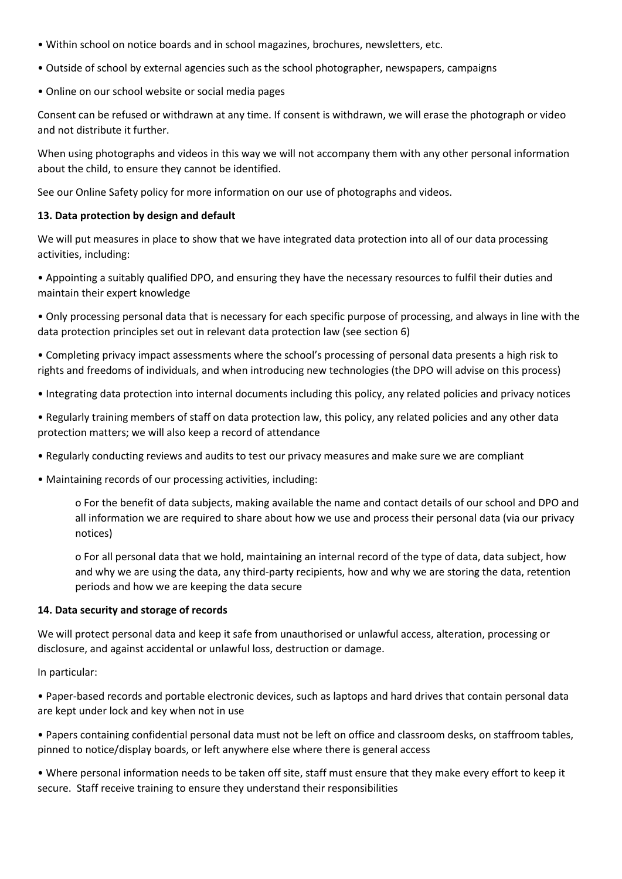- Within school on notice boards and in school magazines, brochures, newsletters, etc.
- Outside of school by external agencies such as the school photographer, newspapers, campaigns
- Online on our school website or social media pages

Consent can be refused or withdrawn at any time. If consent is withdrawn, we will erase the photograph or video and not distribute it further.

When using photographs and videos in this way we will not accompany them with any other personal information about the child, to ensure they cannot be identified.

See our Online Safety policy for more information on our use of photographs and videos.

#### **13. Data protection by design and default**

We will put measures in place to show that we have integrated data protection into all of our data processing activities, including:

• Appointing a suitably qualified DPO, and ensuring they have the necessary resources to fulfil their duties and maintain their expert knowledge

• Only processing personal data that is necessary for each specific purpose of processing, and always in line with the data protection principles set out in relevant data protection law (see section 6)

• Completing privacy impact assessments where the school's processing of personal data presents a high risk to rights and freedoms of individuals, and when introducing new technologies (the DPO will advise on this process)

• Integrating data protection into internal documents including this policy, any related policies and privacy notices

• Regularly training members of staff on data protection law, this policy, any related policies and any other data protection matters; we will also keep a record of attendance

• Regularly conducting reviews and audits to test our privacy measures and make sure we are compliant

• Maintaining records of our processing activities, including:

o For the benefit of data subjects, making available the name and contact details of our school and DPO and all information we are required to share about how we use and process their personal data (via our privacy notices)

o For all personal data that we hold, maintaining an internal record of the type of data, data subject, how and why we are using the data, any third-party recipients, how and why we are storing the data, retention periods and how we are keeping the data secure

#### **14. Data security and storage of records**

We will protect personal data and keep it safe from unauthorised or unlawful access, alteration, processing or disclosure, and against accidental or unlawful loss, destruction or damage.

#### In particular:

• Paper-based records and portable electronic devices, such as laptops and hard drives that contain personal data are kept under lock and key when not in use

• Papers containing confidential personal data must not be left on office and classroom desks, on staffroom tables, pinned to notice/display boards, or left anywhere else where there is general access

• Where personal information needs to be taken off site, staff must ensure that they make every effort to keep it secure. Staff receive training to ensure they understand their responsibilities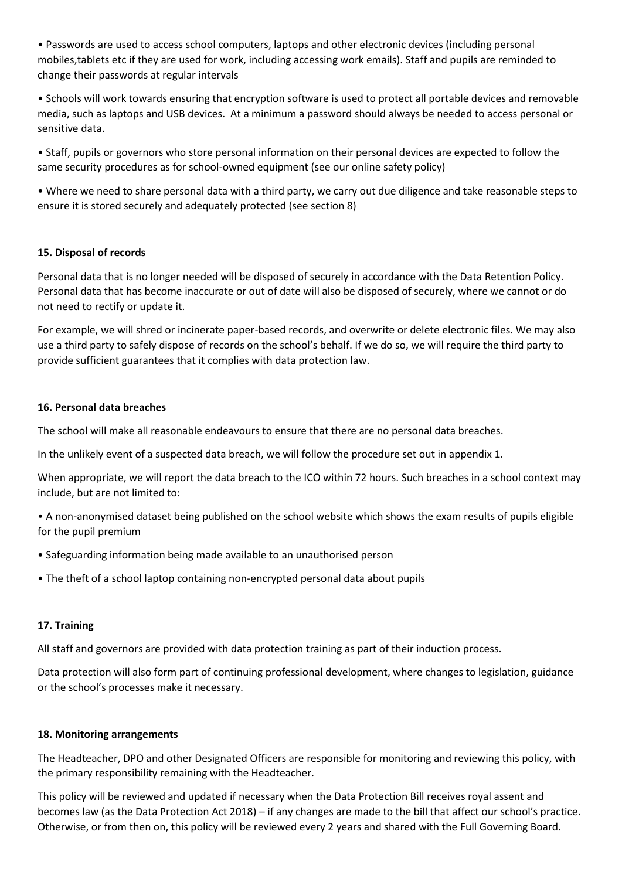• Passwords are used to access school computers, laptops and other electronic devices (including personal mobiles,tablets etc if they are used for work, including accessing work emails). Staff and pupils are reminded to change their passwords at regular intervals

• Schools will work towards ensuring that encryption software is used to protect all portable devices and removable media, such as laptops and USB devices. At a minimum a password should always be needed to access personal or sensitive data.

• Staff, pupils or governors who store personal information on their personal devices are expected to follow the same security procedures as for school-owned equipment (see our online safety policy)

• Where we need to share personal data with a third party, we carry out due diligence and take reasonable steps to ensure it is stored securely and adequately protected (see section 8)

#### **15. Disposal of records**

Personal data that is no longer needed will be disposed of securely in accordance with the Data Retention Policy. Personal data that has become inaccurate or out of date will also be disposed of securely, where we cannot or do not need to rectify or update it.

For example, we will shred or incinerate paper-based records, and overwrite or delete electronic files. We may also use a third party to safely dispose of records on the school's behalf. If we do so, we will require the third party to provide sufficient guarantees that it complies with data protection law.

#### **16. Personal data breaches**

The school will make all reasonable endeavours to ensure that there are no personal data breaches.

In the unlikely event of a suspected data breach, we will follow the procedure set out in appendix 1.

When appropriate, we will report the data breach to the ICO within 72 hours. Such breaches in a school context may include, but are not limited to:

• A non-anonymised dataset being published on the school website which shows the exam results of pupils eligible for the pupil premium

- Safeguarding information being made available to an unauthorised person
- The theft of a school laptop containing non-encrypted personal data about pupils

## **17. Training**

All staff and governors are provided with data protection training as part of their induction process.

Data protection will also form part of continuing professional development, where changes to legislation, guidance or the school's processes make it necessary.

#### **18. Monitoring arrangements**

The Headteacher, DPO and other Designated Officers are responsible for monitoring and reviewing this policy, with the primary responsibility remaining with the Headteacher.

This policy will be reviewed and updated if necessary when the Data Protection Bill receives royal assent and becomes law (as the Data Protection Act 2018) – if any changes are made to the bill that affect our school's practice. Otherwise, or from then on, this policy will be reviewed every 2 years and shared with the Full Governing Board.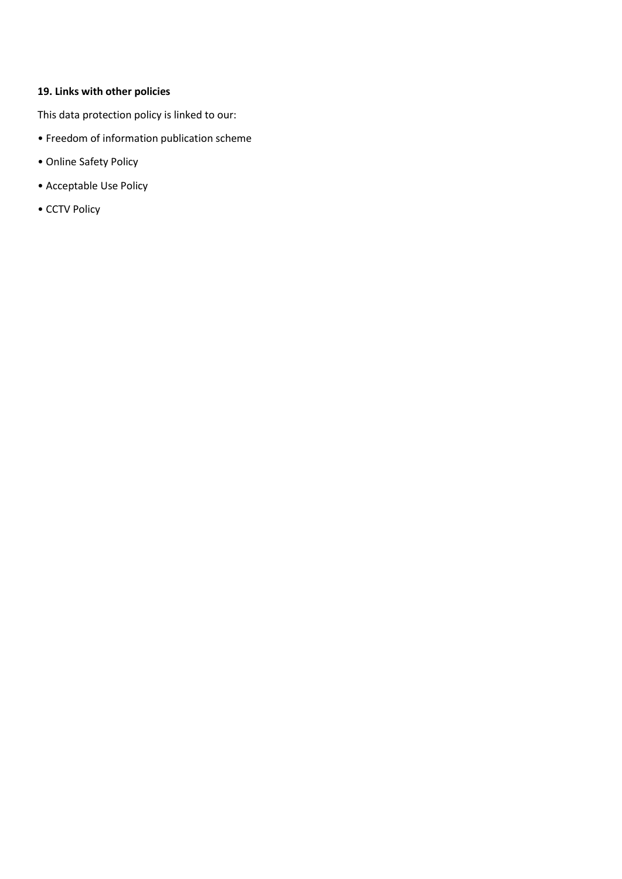# **19. Links with other policies**

This data protection policy is linked to our:

- Freedom of information publication scheme
- Online Safety Policy
- Acceptable Use Policy
- CCTV Policy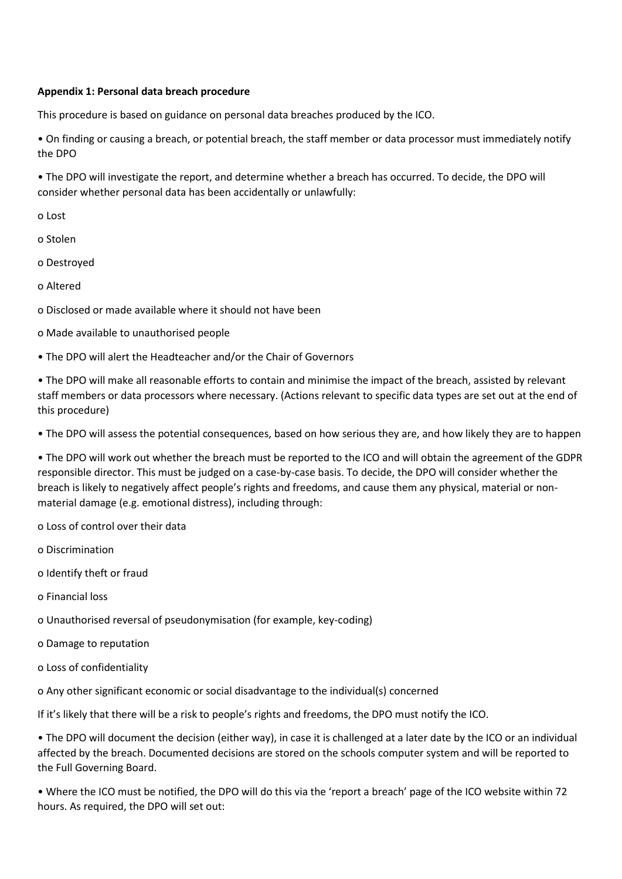#### **Appendix 1: Personal data breach procedure**

This procedure is based on guidance on personal data breaches produced by the ICO.

• On finding or causing a breach, or potential breach, the staff member or data processor must immediately notify the DPO

• The DPO will investigate the report, and determine whether a breach has occurred. To decide, the DPO will consider whether personal data has been accidentally or unlawfully:

o Lost

o Stolen

o Destroyed

o Altered

o Disclosed or made available where it should not have been

o Made available to unauthorised people

• The DPO will alert the Headteacher and/or the Chair of Governors

• The DPO will make all reasonable efforts to contain and minimise the impact of the breach, assisted by relevant staff members or data processors where necessary. (Actions relevant to specific data types are set out at the end of this procedure)

• The DPO will assess the potential consequences, based on how serious they are, and how likely they are to happen

• The DPO will work out whether the breach must be reported to the ICO and will obtain the agreement of the GDPR responsible director. This must be judged on a case-by-case basis. To decide, the DPO will consider whether the breach is likely to negatively affect people's rights and freedoms, and cause them any physical, material or nonmaterial damage (e.g. emotional distress), including through:

o Loss of control over their data

o Discrimination

o Identify theft or fraud

o Financial loss

o Unauthorised reversal of pseudonymisation (for example, key-coding)

o Damage to reputation

o Loss of confidentiality

o Any other significant economic or social disadvantage to the individual(s) concerned

If it's likely that there will be a risk to people's rights and freedoms, the DPO must notify the ICO.

• The DPO will document the decision (either way), in case it is challenged at a later date by the ICO or an individual affected by the breach. Documented decisions are stored on the schools computer system and will be reported to the Full Governing Board.

• Where the ICO must be notified, the DPO will do this via the 'report a breach' page of the ICO website within 72 hours. As required, the DPO will set out: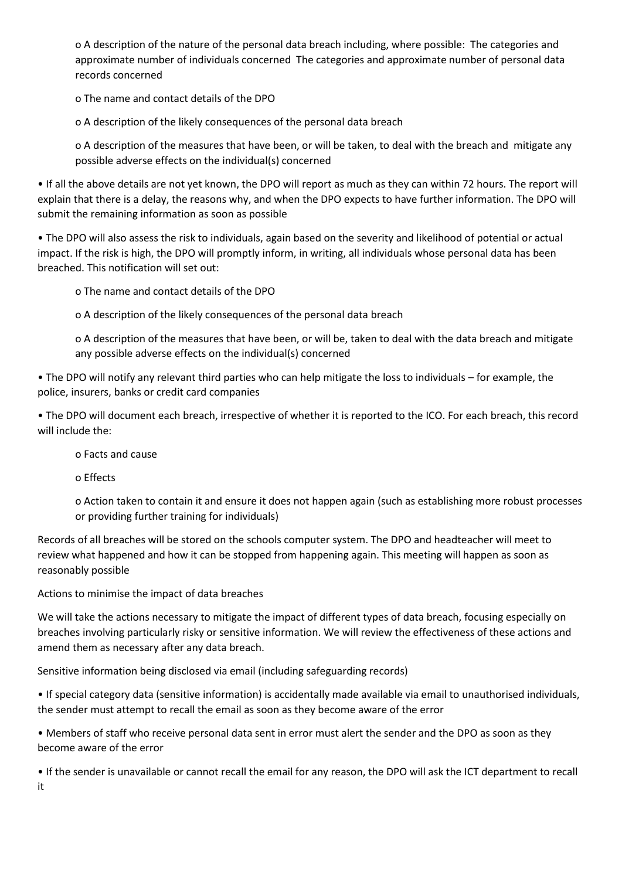o A description of the nature of the personal data breach including, where possible: The categories and approximate number of individuals concerned The categories and approximate number of personal data records concerned

o The name and contact details of the DPO

o A description of the likely consequences of the personal data breach

o A description of the measures that have been, or will be taken, to deal with the breach and mitigate any possible adverse effects on the individual(s) concerned

• If all the above details are not yet known, the DPO will report as much as they can within 72 hours. The report will explain that there is a delay, the reasons why, and when the DPO expects to have further information. The DPO will submit the remaining information as soon as possible

• The DPO will also assess the risk to individuals, again based on the severity and likelihood of potential or actual impact. If the risk is high, the DPO will promptly inform, in writing, all individuals whose personal data has been breached. This notification will set out:

o The name and contact details of the DPO

o A description of the likely consequences of the personal data breach

o A description of the measures that have been, or will be, taken to deal with the data breach and mitigate any possible adverse effects on the individual(s) concerned

• The DPO will notify any relevant third parties who can help mitigate the loss to individuals – for example, the police, insurers, banks or credit card companies

• The DPO will document each breach, irrespective of whether it is reported to the ICO. For each breach, this record will include the:

o Facts and cause

o Effects

o Action taken to contain it and ensure it does not happen again (such as establishing more robust processes or providing further training for individuals)

Records of all breaches will be stored on the schools computer system. The DPO and headteacher will meet to review what happened and how it can be stopped from happening again. This meeting will happen as soon as reasonably possible

Actions to minimise the impact of data breaches

We will take the actions necessary to mitigate the impact of different types of data breach, focusing especially on breaches involving particularly risky or sensitive information. We will review the effectiveness of these actions and amend them as necessary after any data breach.

Sensitive information being disclosed via email (including safeguarding records)

• If special category data (sensitive information) is accidentally made available via email to unauthorised individuals, the sender must attempt to recall the email as soon as they become aware of the error

• Members of staff who receive personal data sent in error must alert the sender and the DPO as soon as they become aware of the error

• If the sender is unavailable or cannot recall the email for any reason, the DPO will ask the ICT department to recall it